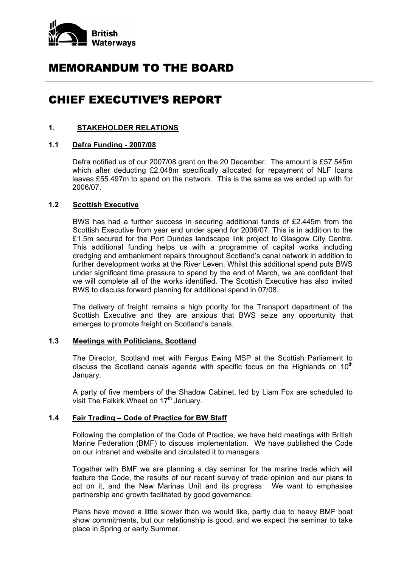

# MEMORANDUM TO THE BOARD

# CHIEF EXECUTIVE'S REPORT

## **1. STAKEHOLDER RELATIONS**

## **1.1 Defra Funding - 2007/08**

 Defra notified us of our 2007/08 grant on the 20 December. The amount is £57.545m which after deducting £2.048m specifically allocated for repayment of NLF loans leaves £55.497m to spend on the network. This is the same as we ended up with for 2006/07.

## **1.2 Scottish Executive**

 BWS has had a further success in securing additional funds of £2.445m from the Scottish Executive from year end under spend for 2006/07. This is in addition to the £1.5m secured for the Port Dundas landscape link project to Glasgow City Centre. This additional funding helps us with a programme of capital works including dredging and embankment repairs throughout Scotland's canal network in addition to further development works at the River Leven. Whilst this additional spend puts BWS under significant time pressure to spend by the end of March, we are confident that we will complete all of the works identified. The Scottish Executive has also invited BWS to discuss forward planning for additional spend in 07/08.

 The delivery of freight remains a high priority for the Transport department of the Scottish Executive and they are anxious that BWS seize any opportunity that emerges to promote freight on Scotland's canals.

## **1.3 Meetings with Politicians, Scotland**

 The Director, Scotland met with Fergus Ewing MSP at the Scottish Parliament to discuss the Scotland canals agenda with specific focus on the Highlands on  $10<sup>th</sup>$ January.

 A party of five members of the Shadow Cabinet, led by Liam Fox are scheduled to visit The Falkirk Wheel on 17<sup>th</sup> January.

# **1.4 Fair Trading – Code of Practice for BW Staff**

 Following the completion of the Code of Practice, we have held meetings with British Marine Federation (BMF) to discuss implementation. We have published the Code on our intranet and website and circulated it to managers.

 Together with BMF we are planning a day seminar for the marine trade which will feature the Code, the results of our recent survey of trade opinion and our plans to act on it, and the New Marinas Unit and its progress. We want to emphasise partnership and growth facilitated by good governance.

 Plans have moved a little slower than we would like, partly due to heavy BMF boat show commitments, but our relationship is good, and we expect the seminar to take place in Spring or early Summer.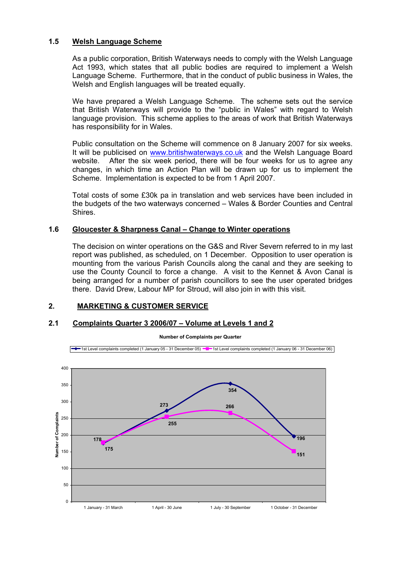## **1.5 Welsh Language Scheme**

 As a public corporation, British Waterways needs to comply with the Welsh Language Act 1993, which states that all public bodies are required to implement a Welsh Language Scheme. Furthermore, that in the conduct of public business in Wales, the Welsh and English languages will be treated equally.

We have prepared a Welsh Language Scheme. The scheme sets out the service that British Waterways will provide to the "public in Wales" with regard to Welsh language provision. This scheme applies to the areas of work that British Waterways has responsibility for in Wales.

Public consultation on the Scheme will commence on 8 January 2007 for six weeks. It will be publicised on www.britishwaterways.co.uk and the Welsh Language Board website. After the six week period, there will be four weeks for us to agree any changes, in which time an Action Plan will be drawn up for us to implement the Scheme. Implementation is expected to be from 1 April 2007.

Total costs of some £30k pa in translation and web services have been included in the budgets of the two waterways concerned – Wales & Border Counties and Central Shires.

#### **1.6 Gloucester & Sharpness Canal – Change to Winter operations**

The decision on winter operations on the G&S and River Severn referred to in my last report was published, as scheduled, on 1 December. Opposition to user operation is mounting from the various Parish Councils along the canal and they are seeking to use the County Council to force a change. A visit to the Kennet & Avon Canal is being arranged for a number of parish councillors to see the user operated bridges there. David Drew, Labour MP for Stroud, will also join in with this visit.

#### **2. MARKETING & CUSTOMER SERVICE**

#### **2.1 Complaints Quarter 3 2006/07 – Volume at Levels 1 and 2**



**Number of Complaints per Quarter**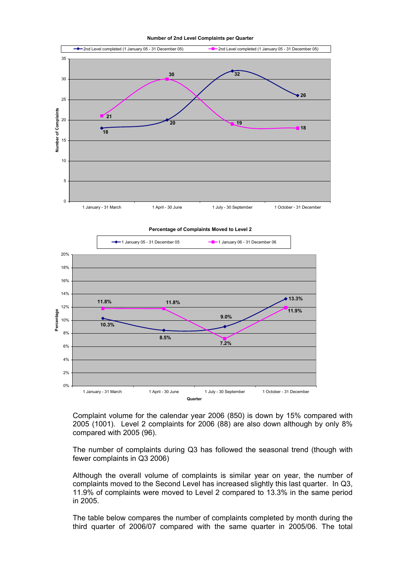**Number of 2nd Level Complaints per Quarter**



 Complaint volume for the calendar year 2006 (850) is down by 15% compared with 2005 (1001). Level 2 complaints for 2006 (88) are also down although by only 8% compared with 2005 (96).

 The number of complaints during Q3 has followed the seasonal trend (though with fewer complaints in Q3 2006)

 Although the overall volume of complaints is similar year on year, the number of complaints moved to the Second Level has increased slightly this last quarter. In Q3, 11.9% of complaints were moved to Level 2 compared to 13.3% in the same period in 2005.

 The table below compares the number of complaints completed by month during the third quarter of 2006/07 compared with the same quarter in 2005/06. The total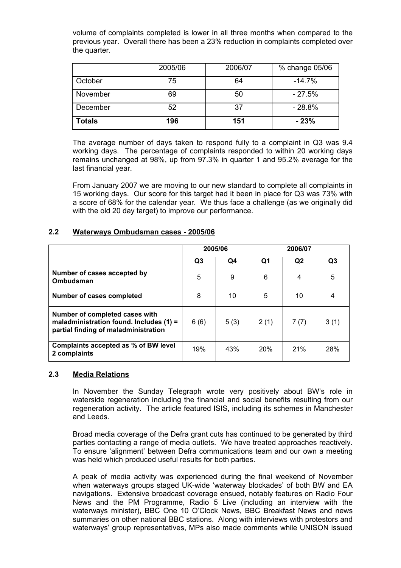volume of complaints completed is lower in all three months when compared to the previous year. Overall there has been a 23% reduction in complaints completed over the quarter.

|               | 2005/06 | 2006/07 | % change 05/06 |
|---------------|---------|---------|----------------|
| October       | 75      | 64      | $-14.7%$       |
| November      | 69      | 50      | $-27.5%$       |
| December      | 52      | 37      | $-28.8%$       |
| <b>Totals</b> | 196     | 151     | $-23%$         |

 The average number of days taken to respond fully to a complaint in Q3 was 9.4 working days. The percentage of complaints responded to within 20 working days remains unchanged at 98%, up from 97.3% in quarter 1 and 95.2% average for the last financial year.

 From January 2007 we are moving to our new standard to complete all complaints in 15 working days. Our score for this target had it been in place for Q3 was 73% with a score of 68% for the calendar year. We thus face a challenge (as we originally did with the old 20 day target) to improve our performance.

#### **2.2 Waterways Ombudsman cases - 2005/06**

|                                                                                                                     | 2005/06 |      | 2006/07    |                |                |
|---------------------------------------------------------------------------------------------------------------------|---------|------|------------|----------------|----------------|
|                                                                                                                     | Q3      | Q4   | Q1         | Q <sub>2</sub> | Q <sub>3</sub> |
| Number of cases accepted by<br>Ombudsman                                                                            | 5       | 9    | 6          | 4              | 5              |
| Number of cases completed                                                                                           | 8       | 10   | 5          | 10             | 4              |
| Number of completed cases with<br>maladministration found. Includes $(1)$ =<br>partial finding of maladministration | 6(6)    | 5(3) | 2(1)       | 7(7)           | 3(1)           |
| Complaints accepted as % of BW level<br>2 complaints                                                                | 19%     | 43%  | <b>20%</b> | 21%            | 28%            |

#### **2.3 Media Relations**

 In November the Sunday Telegraph wrote very positively about BW's role in waterside regeneration including the financial and social benefits resulting from our regeneration activity. The article featured ISIS, including its schemes in Manchester and Leeds.

 Broad media coverage of the Defra grant cuts has continued to be generated by third parties contacting a range of media outlets. We have treated approaches reactively. To ensure 'alignment' between Defra communications team and our own a meeting was held which produced useful results for both parties.

 A peak of media activity was experienced during the final weekend of November when waterways groups staged UK-wide 'waterway blockades' of both BW and EA navigations. Extensive broadcast coverage ensued, notably features on Radio Four News and the PM Programme, Radio 5 Live (including an interview with the waterways minister), BBC One 10 O'Clock News, BBC Breakfast News and news summaries on other national BBC stations. Along with interviews with protestors and waterways' group representatives, MPs also made comments while UNISON issued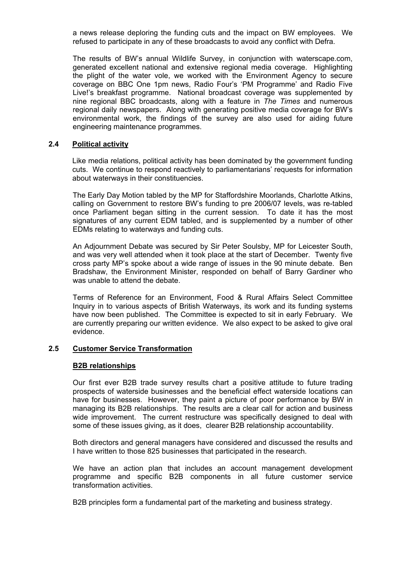a news release deploring the funding cuts and the impact on BW employees. We refused to participate in any of these broadcasts to avoid any conflict with Defra.

 The results of BW's annual Wildlife Survey, in conjunction with waterscape.com, generated excellent national and extensive regional media coverage. Highlighting the plight of the water vole, we worked with the Environment Agency to secure coverage on BBC One 1pm news, Radio Four's 'PM Programme' and Radio Five Live!'s breakfast programme. National broadcast coverage was supplemented by nine regional BBC broadcasts, along with a feature in *The Times* and numerous regional daily newspapers. Along with generating positive media coverage for BW's environmental work, the findings of the survey are also used for aiding future engineering maintenance programmes.

#### **2.4 Political activity**

 Like media relations, political activity has been dominated by the government funding cuts. We continue to respond reactively to parliamentarians' requests for information about waterways in their constituencies.

 The Early Day Motion tabled by the MP for Staffordshire Moorlands, Charlotte Atkins, calling on Government to restore BW's funding to pre 2006/07 levels, was re-tabled once Parliament began sitting in the current session. To date it has the most signatures of any current EDM tabled, and is supplemented by a number of other EDMs relating to waterways and funding cuts.

 An Adjournment Debate was secured by Sir Peter Soulsby, MP for Leicester South, and was very well attended when it took place at the start of December. Twenty five cross party MP's spoke about a wide range of issues in the 90 minute debate. Ben Bradshaw, the Environment Minister, responded on behalf of Barry Gardiner who was unable to attend the debate.

 Terms of Reference for an Environment, Food & Rural Affairs Select Committee Inquiry in to various aspects of British Waterways, its work and its funding systems have now been published. The Committee is expected to sit in early February. We are currently preparing our written evidence. We also expect to be asked to give oral evidence.

#### **2.5 Customer Service Transformation**

#### **B2B relationships**

 Our first ever B2B trade survey results chart a positive attitude to future trading prospects of waterside businesses and the beneficial effect waterside locations can have for businesses. However, they paint a picture of poor performance by BW in managing its B2B relationships. The results are a clear call for action and business wide improvement. The current restructure was specifically designed to deal with some of these issues giving, as it does, clearer B2B relationship accountability.

 Both directors and general managers have considered and discussed the results and I have written to those 825 businesses that participated in the research.

 We have an action plan that includes an account management development programme and specific B2B components in all future customer service transformation activities.

B2B principles form a fundamental part of the marketing and business strategy.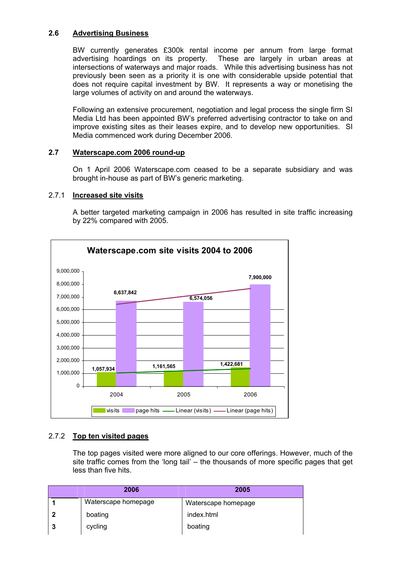# **2.6 Advertising Business**

 BW currently generates £300k rental income per annum from large format advertising hoardings on its property. These are largely in urban areas at intersections of waterways and major roads. While this advertising business has not previously been seen as a priority it is one with considerable upside potential that does not require capital investment by BW. It represents a way or monetising the large volumes of activity on and around the waterways.

 Following an extensive procurement, negotiation and legal process the single firm SI Media Ltd has been appointed BW's preferred advertising contractor to take on and improve existing sites as their leases expire, and to develop new opportunities. SI Media commenced work during December 2006.

# **2.7 Waterscape.com 2006 round-up**

 On 1 April 2006 Waterscape.com ceased to be a separate subsidiary and was brought in-house as part of BW's generic marketing.

## 2.7.1 **Increased site visits**

 A better targeted marketing campaign in 2006 has resulted in site traffic increasing by 22% compared with 2005.



## 2.7.2 **Top ten visited pages**

 The top pages visited were more aligned to our core offerings. However, much of the site traffic comes from the 'long tail' – the thousands of more specific pages that get less than five hits.

| 2006                | 2005                |
|---------------------|---------------------|
| Waterscape homepage | Waterscape homepage |
| boating             | index.html          |
| cycling             | boating             |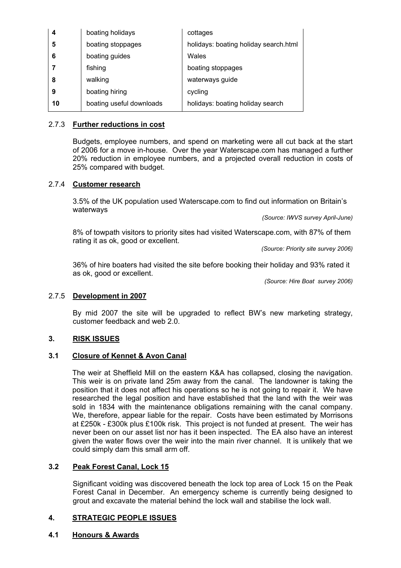| 4  | boating holidays         | cottages                              |  |  |
|----|--------------------------|---------------------------------------|--|--|
| 5  | boating stoppages        | holidays: boating holiday search.html |  |  |
| 6  | boating guides           | Wales                                 |  |  |
|    | fishing                  | boating stoppages                     |  |  |
| 8  | walking                  | waterways guide                       |  |  |
| 9  | boating hiring           | cycling                               |  |  |
| 10 | boating useful downloads | holidays: boating holiday search      |  |  |

## 2.7.3 **Further reductions in cost**

 Budgets, employee numbers, and spend on marketing were all cut back at the start of 2006 for a move in-house. Over the year Waterscape.com has managed a further 20% reduction in employee numbers, and a projected overall reduction in costs of 25% compared with budget.

## 2.7.4 **Customer research**

 3.5% of the UK population used Waterscape.com to find out information on Britain's waterways

*(Source: IWVS survey April-June)* 

 8% of towpath visitors to priority sites had visited Waterscape.com, with 87% of them rating it as ok, good or excellent.

*(Source: Priority site survey 2006)* 

 36% of hire boaters had visited the site before booking their holiday and 93% rated it as ok, good or excellent.

*(Source: Hire Boat survey 2006)* 

## 2.7.5 **Development in 2007**

 By mid 2007 the site will be upgraded to reflect BW's new marketing strategy, customer feedback and web 2.0.

## **3. RISK ISSUES**

#### **3.1 Closure of Kennet & Avon Canal**

 The weir at Sheffield Mill on the eastern K&A has collapsed, closing the navigation. This weir is on private land 25m away from the canal. The landowner is taking the position that it does not affect his operations so he is not going to repair it. We have researched the legal position and have established that the land with the weir was sold in 1834 with the maintenance obligations remaining with the canal company. We, therefore, appear liable for the repair. Costs have been estimated by Morrisons at £250k - £300k plus £100k risk. This project is not funded at present. The weir has never been on our asset list nor has it been inspected. The EA also have an interest given the water flows over the weir into the main river channel. It is unlikely that we could simply dam this small arm off.

# **3.2 Peak Forest Canal, Lock 15**

 Significant voiding was discovered beneath the lock top area of Lock 15 on the Peak Forest Canal in December. An emergency scheme is currently being designed to grout and excavate the material behind the lock wall and stabilise the lock wall.

## **4. STRATEGIC PEOPLE ISSUES**

**4.1 Honours & Awards**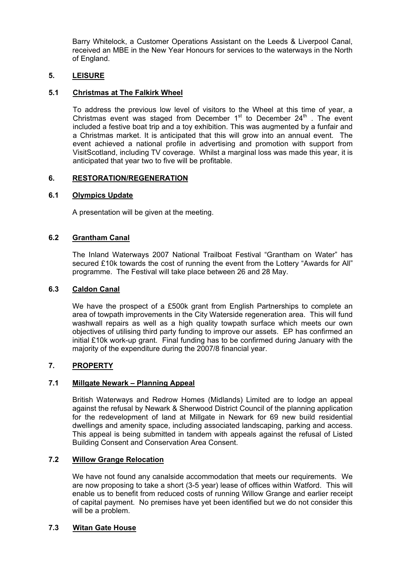Barry Whitelock, a Customer Operations Assistant on the Leeds & Liverpool Canal, received an MBE in the New Year Honours for services to the waterways in the North of England.

# **5. LEISURE**

#### **5.1 Christmas at The Falkirk Wheel**

 To address the previous low level of visitors to the Wheel at this time of year, a Christmas event was staged from December  $1<sup>st</sup>$  to December  $24<sup>th</sup>$ . The event included a festive boat trip and a toy exhibition. This was augmented by a funfair and a Christmas market. It is anticipated that this will grow into an annual event. The event achieved a national profile in advertising and promotion with support from VisitScotland, including TV coverage. Whilst a marginal loss was made this year, it is anticipated that year two to five will be profitable.

#### **6. RESTORATION/REGENERATION**

#### **6.1 Olympics Update**

A presentation will be given at the meeting.

#### **6.2 Grantham Canal**

The Inland Waterways 2007 National Trailboat Festival "Grantham on Water" has secured £10k towards the cost of running the event from the Lottery "Awards for All" programme. The Festival will take place between 26 and 28 May.

#### **6.3 Caldon Canal**

We have the prospect of a £500k grant from English Partnerships to complete an area of towpath improvements in the City Waterside regeneration area. This will fund washwall repairs as well as a high quality towpath surface which meets our own objectives of utilising third party funding to improve our assets. EP has confirmed an initial £10k work-up grant. Final funding has to be confirmed during January with the majority of the expenditure during the 2007/8 financial year.

# **7. PROPERTY**

## **7.1 Millgate Newark – Planning Appeal**

British Waterways and Redrow Homes (Midlands) Limited are to lodge an appeal against the refusal by Newark & Sherwood District Council of the planning application for the redevelopment of land at Millgate in Newark for 69 new build residential dwellings and amenity space, including associated landscaping, parking and access. This appeal is being submitted in tandem with appeals against the refusal of Listed Building Consent and Conservation Area Consent.

## **7.2 Willow Grange Relocation**

 We have not found any canalside accommodation that meets our requirements. We are now proposing to take a short (3-5 year) lease of offices within Watford. This will enable us to benefit from reduced costs of running Willow Grange and earlier receipt of capital payment. No premises have yet been identified but we do not consider this will be a problem.

## **7.3 Witan Gate House**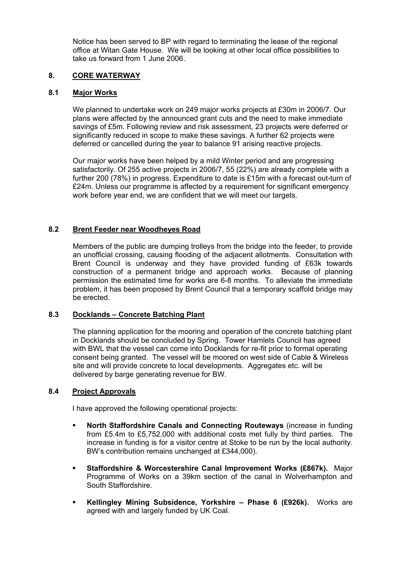Notice has been served to BP with regard to terminating the lease of the regional office at Witan Gate House. We will be looking at other local office possibilities to take us forward from 1 June 2006.

# **8. CORE WATERWAY**

## **8.1 Major Works**

 We planned to undertake work on 249 major works projects at £30m in 2006/7. Our plans were affected by the announced grant cuts and the need to make immediate savings of £5m. Following review and risk assessment, 23 projects were deferred or significantly reduced in scope to make these savings. A further 62 projects were deferred or cancelled during the year to balance 91 arising reactive projects.

 Our major works have been helped by a mild Winter period and are progressing satisfactorily. Of 255 active projects in 2006/7, 55 (22%) are already complete with a further 200 (78%) in progress. Expenditure to date is £15m with a forecast out-turn of £24m. Unless our programme is affected by a requirement for significant emergency work before year end, we are confident that we will meet our targets.

# **8.2 Brent Feeder near Woodheyes Road**

 Members of the public are dumping trolleys from the bridge into the feeder, to provide an unofficial crossing, causing flooding of the adjacent allotments. Consultation with Brent Council is underway and they have provided funding of £63k towards construction of a permanent bridge and approach works. Because of planning permission the estimated time for works are 6-8 months. To alleviate the immediate problem, it has been proposed by Brent Council that a temporary scaffold bridge may be erected.

## **8.3 Docklands – Concrete Batching Plant**

 The planning application for the mooring and operation of the concrete batching plant in Docklands should be concluded by Spring. Tower Hamlets Council has agreed with BWL that the vessel can come into Docklands for re-fit prior to formal operating consent being granted. The vessel will be moored on west side of Cable & Wireless site and will provide concrete to local developments. Aggregates etc. will be delivered by barge generating revenue for BW.

## **8.4 Project Approvals**

I have approved the following operational projects:

- **North Staffordshire Canals and Connecting Routeways** (increase in funding from £5.4m to £5,752,000 with additional costs met fully by third parties. The increase in funding is for a visitor centre at Stoke to be run by the local authority. BW's contribution remains unchanged at £344,000).
- **Staffordshire & Worcestershire Canal Improvement Works (£867k).** Major Programme of Works on a 39km section of the canal in Wolverhampton and South Staffordshire.
- **Kellingley Mining Subsidence, Yorkshire Phase 6 (£926k).** Works are agreed with and largely funded by UK Coal.